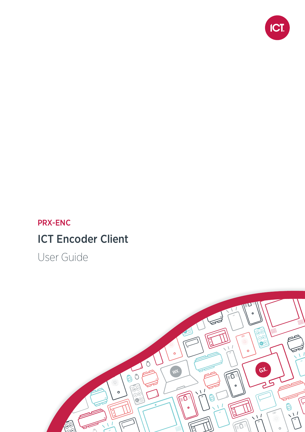

# PRX-ENC ICT Encoder Client

User Guide

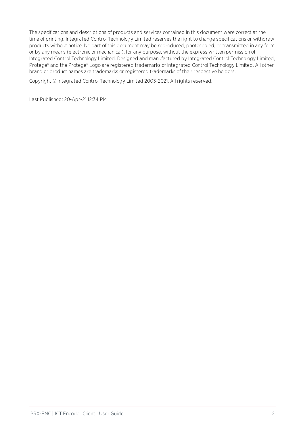The specifications and descriptions of products and services contained in this document were correct at the time of printing. Integrated Control Technology Limited reserves the right to change specifications or withdraw products without notice. No part of this document may be reproduced, photocopied, or transmitted in any form or by any means (electronic or mechanical), for any purpose, without the express written permission of Integrated Control Technology Limited. Designed and manufactured by Integrated Control Technology Limited, Protege® and the Protege® Logo are registered trademarks of Integrated Control Technology Limited. All other brand or product names are trademarks or registered trademarks of their respective holders.

Copyright © Integrated Control Technology Limited 2003-2021. All rights reserved.

Last Published: 20-Apr-21 12:34 PM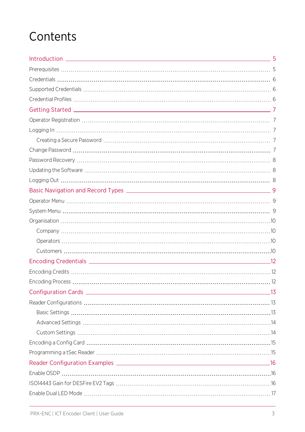# **Contents**

| the control of the control of the control of | 5 |
|----------------------------------------------|---|
|                                              |   |
|                                              |   |
|                                              |   |
|                                              |   |
|                                              |   |
|                                              |   |
|                                              |   |
|                                              |   |
|                                              |   |
|                                              |   |
|                                              |   |
|                                              |   |
|                                              |   |
|                                              |   |
|                                              |   |
|                                              |   |
|                                              |   |
|                                              |   |
|                                              |   |
|                                              |   |
|                                              |   |
|                                              |   |
|                                              |   |
|                                              |   |
|                                              |   |
|                                              |   |
|                                              |   |
|                                              |   |
|                                              |   |
|                                              |   |
|                                              |   |
|                                              |   |
|                                              |   |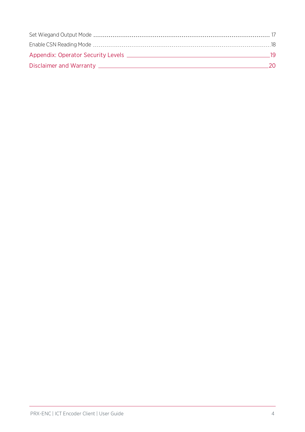| - 19 |  |
|------|--|
| 20.  |  |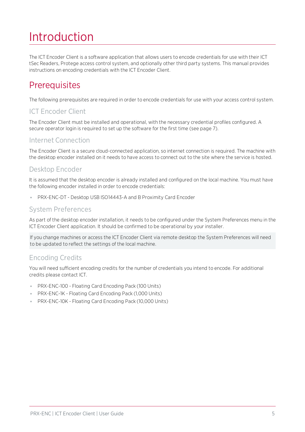# <span id="page-4-0"></span>Introduction

The ICT Encoder Client is a software application that allows users to encode credentials for use with their ICT tSec Readers, Protege access control system, and optionally other third party systems. This manual provides instructions on encoding credentials with the ICT Encoder Client.

# <span id="page-4-1"></span>**Prerequisites**

The following prerequisites are required in order to encode credentials for use with your access control system.

## ICT Encoder Client

The Encoder Client must be installed and operational, with the necessary credential profiles configured. A secure operator login is required to set up the software for the first time (see [page 7\)](#page-6-1).

### Internet Connection

The Encoder Client is a secure cloud-connected application, so internet connection is required. The machine with the desktop encoder installed on it needs to have access to connect out to the site where the service is hosted.

### Desktop Encoder

It is assumed that the desktop encoder is already installed and configured on the local machine. You must have the following encoder installed in order to encode credentials:

⦁ PRX-ENC-DT - Desktop USB ISO14443-A and B Proximity Card Encoder

### System Preferences

As part of the desktop encoder installation, it needs to be configured under the System Preferences menu in the ICT Encoder Client application. It should be confirmed to be operational by your installer.

If you change machines or access the ICT Encoder Client via remote desktop the System Preferences will need to be updated to reflect the settings of the local machine.

### Encoding Credits

You will need sufficient encoding credits for the number of credentials you intend to encode. For additional credits please contact ICT.

- ⦁ PRX-ENC-100 Floating Card Encoding Pack (100 Units)
- ⦁ PRX-ENC-1K Floating Card Encoding Pack (1,000 Units)
- ⦁ PRX-ENC-10K Floating Card Encoding Pack (10,000 Units)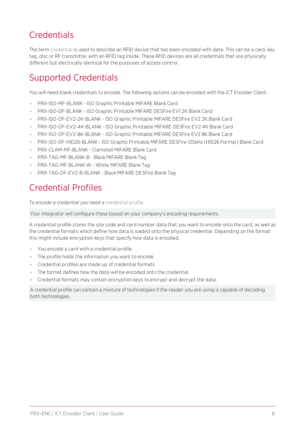# <span id="page-5-0"></span>**Credentials**

The term credential is used to describe an RFID device that has been encoded with data. This can be a card, key tag, disc or RF transmitter with an RFID tag inside. These RFID devices are all credentials that are physically different but electrically identical for the purposes of access control.

# <span id="page-5-1"></span>Supported Credentials

You will need blank credentials to encode. The following options can be encoded with the ICT Encoder Client:

- ⦁ PRX-ISO-MF-BLANK ISO Graphic Printable MIFARE Blank Card
- ⦁ PRX-ISO-DF-BLANK ISO Graphic Printable MIFARE DESFire EV1 2K Blank Card
- ⦁ PRX-ISO-DF-EV2-2K-BLANK ISO Graphic Printable MIFARE DESFire EV2 2K Blank Card
- ⦁ PRX-ISO-DF-EV2-4K-BLANK ISO Graphic Printable MIFARE DESFire EV2 4K Blank Card
- ⦁ PRX-ISO-DF-EV2-8K-BLANK ISO Graphic Printable MIFARE DESFire EV2 8K Blank Card
- ⦁ PRX-ISO-DF-HID26-BLANK ISO Graphic Printable MIFARE DESFire 125kHz (HID26 Format) Blank Card
- ⦁ PRX-CLAM-MF-BLANK Clamshell MIFARE Blank Card
- ⦁ PRX-TAG-MF-BLANK-B Black MIFARE Blank Tag
- ⦁ PRX-TAG-MF-BLANK-W White MIFARE Blank Tag
- <span id="page-5-2"></span>⦁ PRX-TAG-DF-EV2-B-BLANK - Black MIFARE DESFire Blank Tag

# Credential Profiles

To encode a credential you need a credential profile.

Your integrator will configure these based on your company's encoding requirements.

A credential profile stores the site code and card number data that you want to encode onto the card, as well as the credential formats which define how data is loaded onto the physical credential. Depending on the format this might include encryption keys that specify how data is encoded.

- ⦁ You encode a card with a credential profile.
- ⦁ The profile holds the information you want to encode.
- ⦁ Credential profiles are made up of credential formats.
- The format defines how the data will be encoded onto the credential.
- ⦁ Credential formats may contain encryption keys to encrypt and decrypt the data.

A credential profile can contain a mixture of technologies if the reader you are using is capable of decoding both technologies.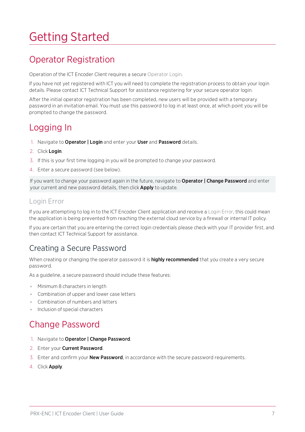# <span id="page-6-0"></span>Getting Started

# <span id="page-6-1"></span>Operator Registration

Operation of the ICT Encoder Client requires a secure Operator Login.

If you have not yet registered with ICT you will need to complete the registration process to obtain your login details. Please contact ICT Technical Support for assistance registering for your secure operator login.

After the initial operator registration has been completed, new users will be provided with a temporary password in an invitation email. You must use this password to log in at least once, at which point you will be prompted to change the password.

## <span id="page-6-2"></span>Logging In

- 1. Navigate to Operator | Login and enter your User and Password details.
- 2. Click Login.
- 3. If this is your first time logging in you will be prompted to change your password.
- 4. Enter a secure password (see below).

If you want to change your password again in the future, navigate to Operator | Change Password and enter your current and new password details, then click **Apply** to update.

#### Login Error

If you are attempting to log in to the ICT Encoder Client application and receive a Login Error, this could mean the application is being prevented from reaching the external cloud service by a firewall or internal IT policy.

<span id="page-6-3"></span>If you are certain that you are entering the correct login credentials please check with your IT provider first, and then contact ICT Technical Support for assistance.

## Creating a Secure Password

When creating or changing the operator password it is **highly recommended** that you create a very secure password.

As a guideline, a secure password should include these features:

- ⦁ Minimum 8 characters in length
- ⦁ Combination of upper and lower case letters
- ⦁ Combination of numbers and letters
- <span id="page-6-4"></span>⦁ Inclusion of special characters

## Change Password

- 1. Navigate to Operator | Change Password.
- 2. Enter your Current Password.
- 3. Enter and confirm your **New Password**, in accordance with the secure password requirements.
- 4. Click Apply.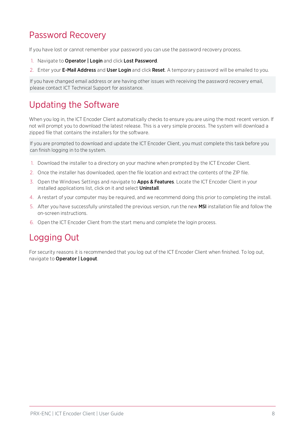# <span id="page-7-0"></span>Password Recovery

If you have lost or cannot remember your password you can use the password recovery process.

- 1. Navigate to Operator | Login and click Lost Password.
- 2. Enter your E-Mail Address and User Login and click Reset. A temporary password will be emailed to you.

<span id="page-7-1"></span>If you have changed email address or are having other issues with receiving the password recovery email, please contact ICT Technical Support for assistance.

# Updating the Software

When you log in, the ICT Encoder Client automatically checks to ensure you are using the most recent version. If not will prompt you to download the latest release. This is a very simple process. The system will download a zipped file that contains the installers for the software.

If you are prompted to download and update the ICT Encoder Client, you must complete this task before you can finish logging in to the system.

- 1. Download the installer to a directory on your machine when prompted by the ICT Encoder Client.
- 2. Once the installer has downloaded, open the file location and extract the contents of the ZIP file.
- 3. Open the Windows Settings and navigate to **Apps & Features**. Locate the ICT Encoder Client in your installed applications list, click on it and select **Uninstall**.
- 4. A restart of your computer may be required, and we recommend doing this prior to completing the install.
- 5. After you have successfully uninstalled the previous version, run the new MSI installation file and follow the on-screen instructions.
- <span id="page-7-2"></span>6. Open the ICT Encoder Client from the start menu and complete the login process.

## Logging Out

For security reasons it is recommended that you log out of the ICT Encoder Client when finished. To log out, navigate to Operator | Logout.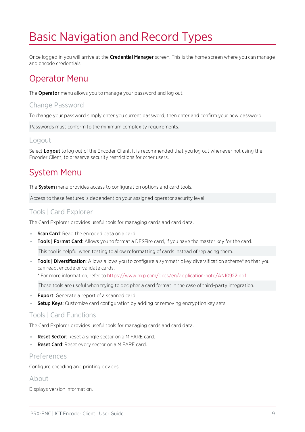# <span id="page-8-0"></span>Basic Navigation and Record Types

<span id="page-8-1"></span>Once logged in you will arrive at the Credential Manager screen. This is the home screen where you can manage and encode credentials.

## Operator Menu

The **Operator** menu allows you to manage your password and log out.

#### Change Password

To change your password simply enter you current password, then enter and confirm your new password.

Passwords must conform to the minimum complexity requirements.

#### Logout

<span id="page-8-2"></span>Select Logout to log out of the Encoder Client. It is recommended that you log out whenever not using the Encoder Client, to preserve security restrictions for other users.

## System Menu

The **System** menu provides access to configuration options and card tools.

Access to these features is dependent on your assigned operator security level.

### Tools | Card Explorer

The Card Explorer provides useful tools for managing cards and card data.

- Scan Card: Read the encoded data on a card.
- Tools | Format Card: Allows you to format a DESFire card, if you have the master key for the card.

This tool is helpful when testing to allow reformatting of cards instead of replacing them.

• Tools | Diversification: Allows allows you to configure a symmetric key diversification scheme\* so that you can read, encode or validate cards.

\* For more information, refer to <https://www.nxp.com/docs/en/application-note/AN10922.pdf>

These tools are useful when trying to decipher a card format in the case of third-party integration.

- **Export**: Generate a report of a scanned card.
- Setup Keys: Customize card configuration by adding or removing encryption key sets.

#### Tools | Card Functions

The Card Explorer provides useful tools for managing cards and card data.

- **Reset Sector:** Reset a single sector on a MIFARE card.
- Reset Card: Reset every sector on a MIFARE card.

### Preferences

Configure encoding and printing devices.

#### About

Displays version information.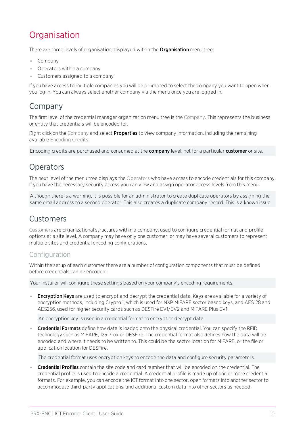# <span id="page-9-0"></span>**Organisation**

There are three levels of organisation, displayed within the **Organisation** menu tree:

- ⦁ Company
- ⦁ Operators within a company
- ⦁ Customers assigned to a company

<span id="page-9-1"></span>If you have access to multiple companies you will be prompted to select the company you want to open when you log in. You can always select another company via the menu once you are logged in.

### Company

The first level of the credential manager organization menu tree is the Company. This represents the business or entity that credentials will be encoded for.

Right click on the Company and select **Properties** to view company information, including the remaining available Encoding Credits.

<span id="page-9-2"></span>Encoding credits are purchased and consumed at the **company** level, not for a particular **customer** or site.

## **Operators**

The next level of the menu tree displays the Operators who have access to encode credentials for this company. If you have the necessary security access you can view and assign operator access levels from this menu.

Although there is a warning, it is possible for an administrator to create duplicate operators by assigning the same email address to a second operator. This also creates a duplicate company record. This is a known issue.

## <span id="page-9-3"></span>Customers

Customers are organizational structures within a company, used to configure credential format and profile options at a site level. A company may have only one customer, or may have several customers to represent multiple sites and credential encoding configurations.

### **Configuration**

Within the setup of each customer there are a number of configuration components that must be defined before credentials can be encoded:

Your installer will configure these settings based on your company's encoding requirements.

**Encryption Keys** are used to encrypt and decrypt the credential data. Keys are available for a variety of encryption methods, including Crypto 1, which is used for NXP MIFARE sector based keys, and AES128 and AES256, used for higher security cards such as DESFire EV1/EV2 and MIFARE Plus EV1.

An encryption key is used in a credential format to encrypt or decrypt data.

Credential Formats define how data is loaded onto the physical credential. You can specify the RFID technology such as MIFARE, 125 Prox or DESFire. The credential format also defines how the data will be encoded and where it needs to be written to. This could be the sector location for MIFARE, or the file or application location for DESFire.

The credential format uses encryption keys to encode the data and configure security parameters.

**Credential Profiles** contain the site code and card number that will be encoded on the credential. The credential profile is used to encode a credential. A credential profile is made up of one or more credential formats. For example, you can encode the ICT format into one sector, open formats into another sector to accommodate third-party applications, and additional custom data into other sectors as needed.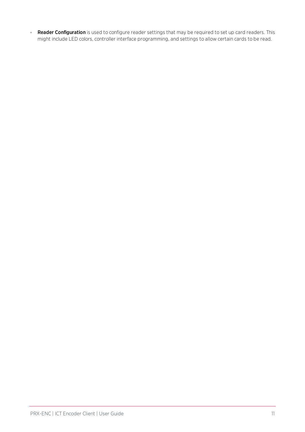. Reader Configuration is used to configure reader settings that may be required to set up card readers. This might include LED colors, controller interface programming, and settings to allow certain cards to be read.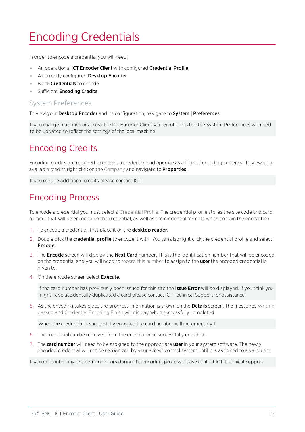# <span id="page-11-0"></span>Encoding Credentials

In order to encode a credential you will need:

- An operational ICT Encoder Client with configured Credential Profile
- A correctly configured Desktop Encoder
- Blank **Credentials** to encode
- Sufficient Encoding Credits

#### System Preferences

To view your Desktop Encoder and its configuration, navigate to System | Preferences.

<span id="page-11-1"></span>If you change machines or access the ICT Encoder Client via remote desktop the System Preferences will need to be updated to reflect the settings of the local machine.

# Encoding Credits

Encoding credits are required to encode a credential and operate as a form of encoding currency. To view your available credits right click on the Company and navigate to **Properties**.

<span id="page-11-2"></span>If you require additional credits please contact ICT.

# Encoding Process

To encode a credential you must select a Credential Profile. The credential profile stores the site code and card number that will be encoded on the credential, as well as the credential formats which contain the encryption.

- 1. To encode a credential, first place it on the **desktop reader**.
- 2. Double click the **credential profile** to encode it with. You can also right click the credential profile and select Encode.
- 3. The **Encode** screen will display the **Next Card** number. This is the identification number that will be encoded on the credential and you will need to record this number to assign to the user the encoded credential is given to.
- 4. On the encode screen select **Execute**.

If the card number has previously been issued for this site the Issue Error will be displayed. If you think you might have accidentally duplicated a card please contact ICT Technical Support for assistance.

5. As the encoding takes place the progress information is shown on the **Details** screen. The messages Writing passed and Credential Encoding Finish will display when successfully completed.

When the credential is successfully encoded the card number will increment by 1.

- 6. The credential can be removed from the encoder once successfully encoded.
- 7. The card number will need to be assigned to the appropriate user in your system software. The newly encoded credential will not be recognized by your access control system until it is assigned to a valid user.

If you encounter any problems or errors during the encoding process please contact ICT Technical Support.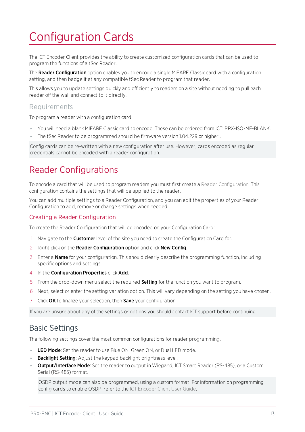# <span id="page-12-0"></span>Configuration Cards

The ICT Encoder Client provides the ability to create customized configuration cards that can be used to program the functions of a tSec Reader.

The Reader Configuration option enables you to encode a single MIFARE Classic card with a configuration setting, and then badge it at any compatible tSec Reader to program that reader.

This allows you to update settings quickly and efficiently to readers on a site without needing to pull each reader off the wall and connect to it directly.

#### Requirements

To program a reader with a configuration card:

- ⦁ You will need a blank MIFARE Classic card to encode. These can be ordered from ICT: PRX-ISO-MF-BLANK.
- ⦁ The tSec Reader to be programmed should be firmware version 1.04.229 or higher .

<span id="page-12-1"></span>Config cards can be re-written with a new configuration after use. However, cards encoded as regular credentials cannot be encoded with a reader configuration.

# Reader Configurations

To encode a card that will be used to program readers you must first create a Reader Configuration. This configuration contains the settings that will be applied to the reader.

You can add multiple settings to a Reader Configuration, and you can edit the properties of your Reader Configuration to add, remove or change settings when needed.

#### Creating a Reader Configuration

To create the Reader Configuration that will be encoded on your Configuration Card:

- 1. Navigate to the **Customer** level of the site you need to create the Configuration Card for.
- 2. Right click on the Reader Configuration option and click New Config.
- 3. Enter a **Name** for your configuration. This should clearly describe the programming function, including specific options and settings.
- 4. In the Configuration Properties click Add.
- 5. From the drop-down menu select the required **Setting** for the function you want to program.
- 6. Next, select or enter the setting variation option. This will vary depending on the setting you have chosen.
- 7. Click OK to finalize your selection, then Save your configuration.

<span id="page-12-2"></span>If you are unsure about any of the settings or options you should contact ICT support before continuing.

## Basic Settings

The following settings cover the most common configurations for reader programming.

- **LED Mode:** Set the reader to use Blue ON, Green ON, or Dual LED mode.
- **Backlight Setting:** Adjust the keypad backlight brightness level.
- **Output/Interface Mode**: Set the reader to output in Wiegand, ICT Smart Reader (RS-485), or a Custom Serial (RS-485) format.

OSDP output mode can also be programmed, using a custom format. For information on programming config cards to enable OSDP, refer to the ICT Encoder Client User Guide.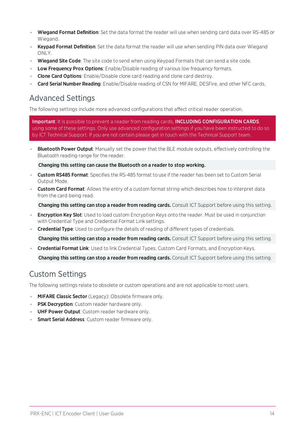- Wiegand Format Definition: Set the data format the reader will use when sending card data over RS-485 or Wiegand.
- . Keypad Format Definition: Set the data format the reader will use when sending PIN data over Wiegand ONLY.
- . Wiegand Site Code: The site code to send when using Keypad Formats that can send a site code.
- Low Frequency Prox Options: Enable/Disable reading of various low frequency formats.
- **Clone Card Options:** Enable/Disable clone card reading and clone card destroy.
- <span id="page-13-0"></span>Card Serial Number Reading: Enable/Disable reading of CSN for MIFARE, DESFire, and other NFC cards.

## Advanced Settings

The following settings include more advanced configurations that affect critical reader operation.

Important: It is possible to prevent a reader from reading cards, INCLUDING CONFIGURATION CARDS, using some of these settings. Only use advanced configuration settings if you have been instructed to do so by ICT Technical Support. If you are not certain please get in touch with the Technical Support team.

**Bluetooth Power Output**: Manually set the power that the BLE module outputs, effectively controlling the Bluetooth reading range for the reader.

Changing this setting can cause the Bluetooth on a reader to stop working.

- **Custom RS485 Format**: Specifies the RS-485 format to use if the reader has been set to Custom Serial Output Mode.
- **Custom Card Format**: Allows the entry of a custom format string which describes how to interpret data from the card being read.

Changing this setting can stop a reader from reading cards. Consult ICT Support before using this setting.

- **Encryption Key Slot**: Used to load custom Encryption Keys onto the reader. Must be used in conjunction with Credential Type and Credential Format Link settings.
- **Credential Type**: Used to configure the details of reading of different types of credentials.

Changing this setting can stop a reader from reading cards. Consult ICT Support before using this setting.

⦁ Credential Format Link: Used to link Credential Types, Custom Card Formats, and Encryption Keys.

<span id="page-13-1"></span>Changing this setting can stop a reader from reading cards. Consult ICT Support before using this setting.

## Custom Settings

The following settings relate to obsolete or custom operations and are not applicable to most users.

- **MIFARE Classic Sector** (Legacy): Obsolete firmware only.
- **PSK Decryption**: Custom reader hardware only.
- **UHF Power Output**: Custom reader hardware only.
- Smart Serial Address: Custom reader firmware only.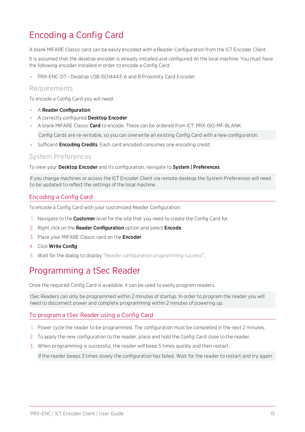# <span id="page-14-0"></span>Encoding a Config Card

A blank MIFARE Classic card can be easily encoded with a Reader Configuration from the ICT Encoder Client.

It is assumed that the desktop encoder is already installed and configured on the local machine. You must have the following encoder installed in order to encode a Config Card:

⦁ PRX-ENC-DT - Desktop USB ISO14443-A and B Proximity Card Encoder

#### Requirements

To encode a Config Card you will need:

- ⦁ A Reader Configuration
- A correctly configured Desktop Encoder
- A blank MIFARE Classic **Card** to encode. These can be ordered from ICT: PRX-ISO-MF-BLANK. Config Cards are re-writable, so you can overwrite an existing Config Card with a new configuration.
- **•** Sufficient **Encoding Credits**. Each card encoded consumes one encoding credit.

#### System Preferences

To view your Desktop Encoder and its configuration, navigate to System | Preferences.

If you change machines or access the ICT Encoder Client via remote desktop the System Preferences will need to be updated to reflect the settings of the local machine.

#### Encoding a Config Card

To encode a Config Card with your customized Reader Configuration:

- 1. Navigate to the **Customer** level for the site that you need to create the Config Card for.
- 2. Right click on the Reader Configuration option and select Encode.
- 3. Place your MIFARE Classic card on the **Encoder**.
- 4. Click Write Config.
- <span id="page-14-1"></span>5. Wait for the dialog to display "Reader configuration programming success".

# Programming a tSec Reader

Once the required Config Card is available, it can be used to easily program readers.

tSec Readers can only be programmed within 2 minutes of startup. In order to program the reader you will need to disconnect power and complete programming within 2 minutes of powering up.

#### To program a tSec Reader using a Config Card

- 1. Power cycle the reader to be programmed. The configuration must be completed in the next 2 minutes.
- 2. To apply the new configuration to the reader, place and hold the Config Card close to the reader.
- 3. When programming is successful, the reader will beep 5 times quickly and then restart.

If the reader beeps 3 times slowly the configuration has failed. Wait for the reader to restart and try again.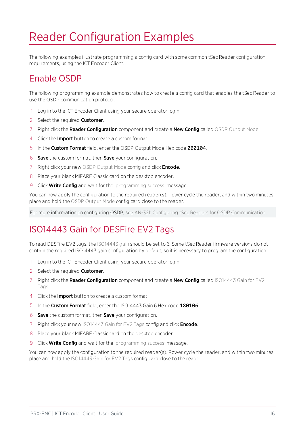# <span id="page-15-0"></span>Reader Configuration Examples

<span id="page-15-1"></span>The following examples illustrate programming a config card with some common tSec Reader configuration requirements, using the ICT Encoder Client.

# Enable OSDP

The following programming example demonstrates how to create a config card that enables the tSec Reader to use the OSDP communication protocol.

- 1. Log in to the ICT Encoder Client using your secure operator login.
- 2. Select the required **Customer**.
- 3. Right click the Reader Configuration component and create a New Config called OSDP Output Mode.
- 4. Click the **Import** button to create a custom format.
- 5. In the Custom Format field, enter the OSDP Output Mode Hex code 0B0104.
- 6. Save the custom format, then Save your configuration.
- 7. Right click your new OSDP Output Mode config and click **Encode**.
- 8. Place your blank MIFARE Classic card on the desktop encoder.
- 9. Click **Write Config** and wait for the 'programming success' message.

You can now apply the configuration to the required reader(s). Power cycle the reader, and within two minutes place and hold the OSDP Output Mode config card close to the reader.

<span id="page-15-2"></span>For more information on configuring OSDP, see AN-321: Configuring tSec Readers for OSDP Communication.

# ISO14443 Gain for DESFire EV2 Tags

To read DESFire EV2 tags, the ISO14443 gain should be set to 6. Some tSec Reader firmware versions do not contain the required ISO14443 gain configuration by default, so it is necessary to program the configuration.

- 1. Log in to the ICT Encoder Client using your secure operator login.
- 2. Select the required **Customer**.
- 3. Right click the Reader Configuration component and create a New Config called ISO14443 Gain for EV2 Tags.
- 4. Click the Import button to create a custom format.
- 5. In the Custom Format field, enter the ISO14443 Gain 6 Hex code 180106.
- 6. Save the custom format, then Save your configuration.
- 7. Right click your new ISO14443 Gain for EV2 Tags config and click **Encode**.
- 8. Place your blank MIFARE Classic card on the desktop encoder.
- 9. Click **Write Config** and wait for the 'programming success' message.

You can now apply the configuration to the required reader(s). Power cycle the reader, and within two minutes place and hold the ISO14443 Gain for EV2 Tags config card close to the reader.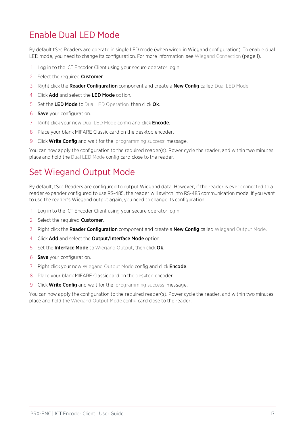# <span id="page-16-0"></span>Enable Dual LED Mode

By default tSec Readers are operate in single LED mode (when wired in Wiegand configuration). To enable dual LED mode, you need to change its configuration. For more information, see Wiegand Connection (page 1).

- 1. Log in to the ICT Encoder Client using your secure operator login.
- 2. Select the required **Customer**.
- 3. Right click the Reader Configuration component and create a New Config called Dual LED Mode.
- 4. Click Add and select the LED Mode option.
- 5. Set the LED Mode to Dual LED Operation, then click Ok.
- 6. Save your configuration.
- 7. Right click your new Dual LED Mode config and click **Encode**.
- 8. Place your blank MIFARE Classic card on the desktop encoder.
- 9. Click **Write Config** and wait for the 'programming success' message.

<span id="page-16-1"></span>You can now apply the configuration to the required reader(s). Power cycle the reader, and within two minutes place and hold the Dual LED Mode config card close to the reader.

## Set Wiegand Output Mode

By default, tSec Readers are configured to output Wiegand data. However, if the reader is ever connected to a reader expander configured to use RS-485, the reader will switch into RS-485 communication mode. If you want to use the reader's Wiegand output again, you need to change its configuration.

- 1. Log in to the ICT Encoder Client using your secure operator login.
- 2. Select the required **Customer**.
- 3. Right click the Reader Configuration component and create a New Config called Wiegand Output Mode.
- 4. Click Add and select the Output/Interface Mode option.
- 5. Set the Interface Mode to Wiegand Output, then click Ok.
- 6. Save your configuration.
- 7. Right click your new Wiegand Output Mode config and click **Encode**.
- 8. Place your blank MIFARE Classic card on the desktop encoder.
- 9. Click **Write Config** and wait for the 'programming success' message.

You can now apply the configuration to the required reader(s). Power cycle the reader, and within two minutes place and hold the Wiegand Output Mode config card close to the reader.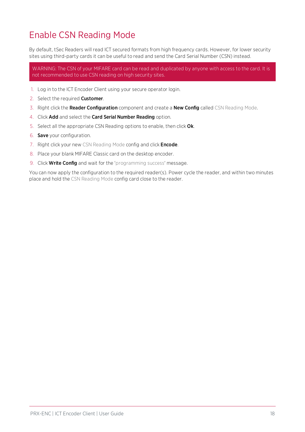# <span id="page-17-0"></span>Enable CSN Reading Mode

By default, tSec Readers will read ICT secured formats from high frequency cards. However, for lower security sites using third-party cards it can be useful to read and send the Card Serial Number (CSN) instead.

WARNING: The CSN of your MIFARE card can be read and duplicated by anyone with access to the card. It is not recommended to use CSN reading on high security sites.

- 1. Log in to the ICT Encoder Client using your secure operator login.
- 2. Select the required **Customer**.
- 3. Right click the Reader Configuration component and create a New Config called CSN Reading Mode.
- 4. Click Add and select the Card Serial Number Reading option.
- 5. Select all the appropriate CSN Reading options to enable, then click Ok.
- 6. Save your configuration.
- 7. Right click your new CSN Reading Mode config and click **Encode**.
- 8. Place your blank MIFARE Classic card on the desktop encoder.
- 9. Click **Write Config** and wait for the 'programming success' message.

You can now apply the configuration to the required reader(s). Power cycle the reader, and within two minutes place and hold the CSN Reading Mode config card close to the reader.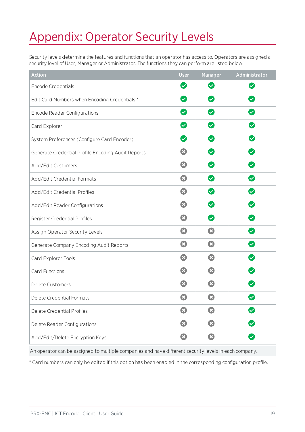# <span id="page-18-0"></span>Appendix: Operator Security Levels

Security levels determine the features and functions that an operator has access to. Operators are assigned a security level of User, Manager or Administrator. The functions they can perform are listed below.

| <b>Action</b>                                      | <b>User</b>                | Manager                          | Administrator                   |
|----------------------------------------------------|----------------------------|----------------------------------|---------------------------------|
| <b>Encode Credentials</b>                          | $\boldsymbol{\heartsuit}$  | $\boldsymbol{\heartsuit}$        | $\boldsymbol{\varnothing}$      |
| Edit Card Numbers when Encoding Credentials *      | $\bullet$                  | $\boldsymbol{\heartsuit}$        | $\boldsymbol{\heartsuit}$       |
| <b>Encode Reader Configurations</b>                | $\boldsymbol{\heartsuit}$  | $\boldsymbol{\heartsuit}$        | $\blacktriangledown$            |
| Card Explorer                                      | $\boldsymbol{\omega}$      | $\boldsymbol{\vartriangleright}$ | $\boldsymbol{\heartsuit}$       |
| System Preferences (Configure Card Encoder)        | $\bullet$                  | $\bullet$                        | $\boldsymbol{\heartsuit}$       |
| Generate Credential Profile Encoding Audit Reports | $\boldsymbol{\Omega}$      | $\bullet$                        | $\boldsymbol{\heartsuit}$       |
| Add/Edit Customers                                 | $\boldsymbol{\Omega}$      | $\boldsymbol{\heartsuit}$        | $\boldsymbol{\heartsuit}$       |
| Add/Edit Credential Formats                        | $\boldsymbol{\Omega}$      | Ø                                | $\boldsymbol{\vartriangledown}$ |
| Add/Edit Credential Profiles                       | $\boldsymbol{\Omega}$      | $\boldsymbol{\heartsuit}$        | $\boldsymbol{\heartsuit}$       |
| Add/Edit Reader Configurations                     | $\boldsymbol{\alpha}$      | $\boldsymbol{\heartsuit}$        | $\blacktriangledown$            |
| Register Credential Profiles                       | $\boldsymbol{\Omega}$      | Ø                                |                                 |
| Assign Operator Security Levels                    | $\boldsymbol{\Omega}$      | $\boldsymbol{\Omega}$            | $\boldsymbol{\heartsuit}$       |
| Generate Company Encoding Audit Reports            | $\boldsymbol{\Omega}$      | $\boldsymbol{\Omega}$            | $\boldsymbol{\heartsuit}$       |
| Card Explorer Tools                                | $\boldsymbol{\Omega}$      | Ø                                | $\boldsymbol{\heartsuit}$       |
| Card Functions                                     | $\boldsymbol{\Omega}$      | Ø                                | $\blacktriangledown$            |
| Delete Customers                                   | $\mathbf{x}$               | $\boldsymbol{\mathsf{x}}$        |                                 |
| Delete Credential Formats                          | $\boldsymbol{\mathcal{R}}$ |                                  | $\checkmark$                    |
| Delete Credential Profiles                         | Ø                          | $\boldsymbol{\Omega}$            | $\boldsymbol{\varnothing}$      |
| Delete Reader Configurations                       | Ø                          | Ø                                | $\bullet$                       |
| Add/Edit/Delete Encryption Keys                    | $\boldsymbol{\Omega}$      | $\boldsymbol{\Omega}$            | $\boldsymbol{\heartsuit}$       |

An operator can be assigned to multiple companies and have different security levels in each company.

\* Card numbers can only be edited if this option has been enabled in the corresponding configuration profile.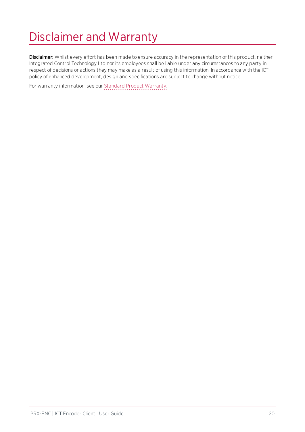# <span id="page-19-0"></span>Disclaimer and Warranty

Disclaimer: Whilst every effort has been made to ensure accuracy in the representation of this product, neither Integrated Control Technology Ltd nor its employees shall be liable under any circumstances to any party in respect of decisions or actions they may make as a result of using this information. In accordance with the ICT policy of enhanced development, design and specifications are subject to change without notice.

For warranty information, see our Standard Product [Warranty.](https://www.ict.co/Standard-Product-Warranty)